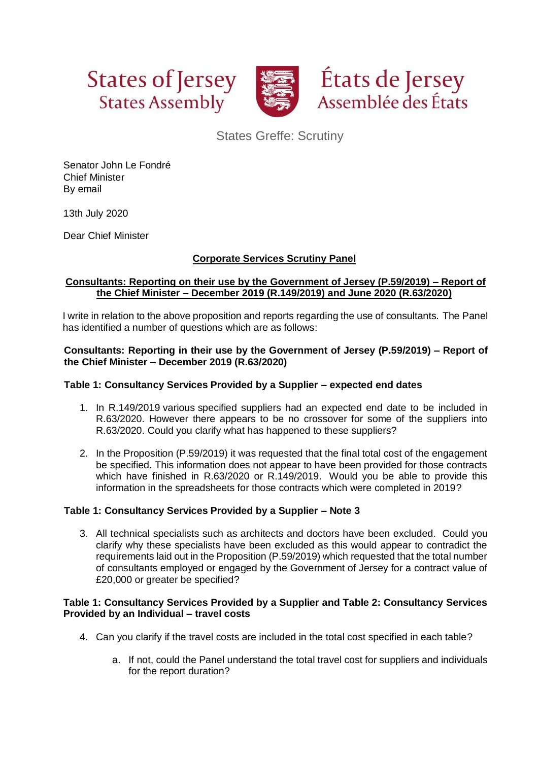



États de Jersey Assemblée des États

States Greffe: Scrutiny

Senator John Le Fondré Chief Minister By email

13th July 2020

Dear Chief Minister

# **Corporate Services Scrutiny Panel**

#### **Consultants: Reporting on their use by the Government of Jersey (P.59/2019) – Report of the Chief Minister – December 2019 (R.149/2019) and June 2020 (R.63/2020)**

I write in relation to the above proposition and reports regarding the use of consultants. The Panel has identified a number of questions which are as follows:

#### **Consultants: Reporting in their use by the Government of Jersey (P.59/2019) – Report of the Chief Minister – December 2019 (R.63/2020)**

## **Table 1: Consultancy Services Provided by a Supplier – expected end dates**

- 1. In R.149/2019 various specified suppliers had an expected end date to be included in R.63/2020. However there appears to be no crossover for some of the suppliers into R.63/2020. Could you clarify what has happened to these suppliers?
- 2. In the Proposition (P.59/2019) it was requested that the final total cost of the engagement be specified. This information does not appear to have been provided for those contracts which have finished in R.63/2020 or R.149/2019. Would you be able to provide this information in the spreadsheets for those contracts which were completed in 2019?

#### **Table 1: Consultancy Services Provided by a Supplier – Note 3**

3. All technical specialists such as architects and doctors have been excluded. Could you clarify why these specialists have been excluded as this would appear to contradict the requirements laid out in the Proposition (P.59/2019) which requested that the total number of consultants employed or engaged by the Government of Jersey for a contract value of £20,000 or greater be specified?

#### **Table 1: Consultancy Services Provided by a Supplier and Table 2: Consultancy Services Provided by an Individual – travel costs**

- 4. Can you clarify if the travel costs are included in the total cost specified in each table?
	- a. If not, could the Panel understand the total travel cost for suppliers and individuals for the report duration?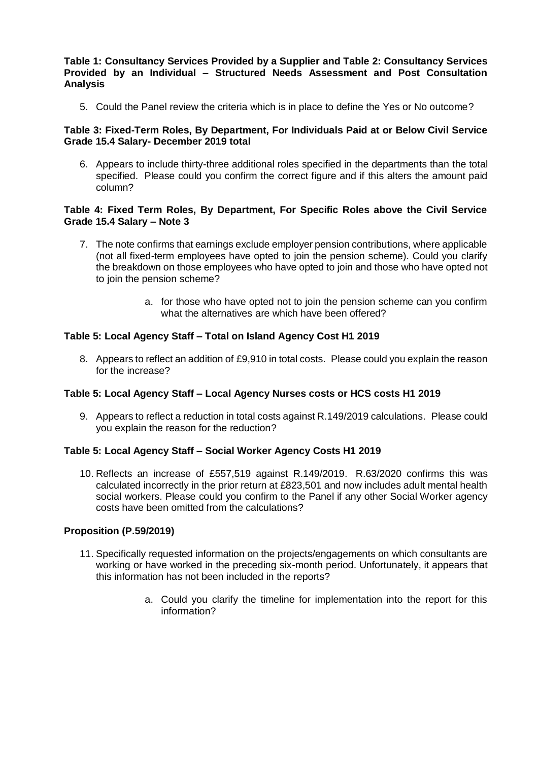#### **Table 1: Consultancy Services Provided by a Supplier and Table 2: Consultancy Services Provided by an Individual – Structured Needs Assessment and Post Consultation Analysis**

5. Could the Panel review the criteria which is in place to define the Yes or No outcome?

## **Table 3: Fixed-Term Roles, By Department, For Individuals Paid at or Below Civil Service Grade 15.4 Salary- December 2019 total**

6. Appears to include thirty-three additional roles specified in the departments than the total specified. Please could you confirm the correct figure and if this alters the amount paid column?

## **Table 4: Fixed Term Roles, By Department, For Specific Roles above the Civil Service Grade 15.4 Salary – Note 3**

- 7. The note confirms that earnings exclude employer pension contributions, where applicable (not all fixed-term employees have opted to join the pension scheme). Could you clarify the breakdown on those employees who have opted to join and those who have opted not to join the pension scheme?
	- a. for those who have opted not to join the pension scheme can you confirm what the alternatives are which have been offered?

# **Table 5: Local Agency Staff – Total on Island Agency Cost H1 2019**

8. Appears to reflect an addition of £9,910 in total costs. Please could you explain the reason for the increase?

#### **Table 5: Local Agency Staff – Local Agency Nurses costs or HCS costs H1 2019**

9. Appears to reflect a reduction in total costs against R.149/2019 calculations. Please could you explain the reason for the reduction?

#### **Table 5: Local Agency Staff – Social Worker Agency Costs H1 2019**

10. Reflects an increase of £557,519 against R.149/2019. R.63/2020 confirms this was calculated incorrectly in the prior return at £823,501 and now includes adult mental health social workers. Please could you confirm to the Panel if any other Social Worker agency costs have been omitted from the calculations?

#### **Proposition (P.59/2019)**

- 11. Specifically requested information on the projects/engagements on which consultants are working or have worked in the preceding six-month period. Unfortunately, it appears that this information has not been included in the reports?
	- a. Could you clarify the timeline for implementation into the report for this information?